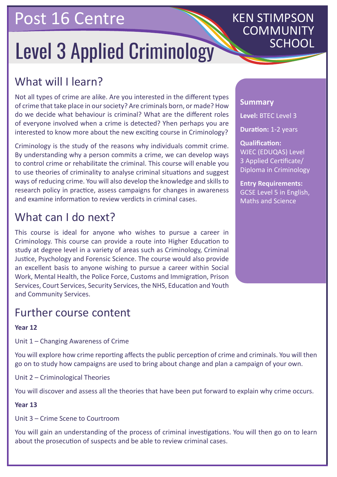## Post 16 Centre

# Level 3 Applied Criminology

## KEN STIMPSON COMMUNITY

## What will I learn?

Not all types of crime are alike. Are you interested in the different types of crime that take place in our society? Are criminals born, or made? How do we decide what behaviour is criminal? What are the different roles of everyone involved when a crime is detected? Yhen perhaps you are interested to know more about the new exciting course in Criminology?

Criminology is the study of the reasons why individuals commit crime. By understanding why a person commits a crime, we can develop ways to control crime or rehabilitate the criminal. This course will enable you to use theories of criminality to analyse criminal situations and suggest ways of reducing crime. You will also develop the knowledge and skills to research policy in practice, assess campaigns for changes in awareness and examine information to review verdicts in criminal cases.

### What can I do next?

This course is ideal for anyone who wishes to pursue a career in Criminology. This course can provide a route into Higher Education to study at degree level in a variety of areas such as Criminology, Criminal Justice, Psychology and Forensic Science. The course would also provide an excellent basis to anyone wishing to pursue a career within Social Work, Mental Health, the Police Force, Customs and Immigration, Prison Services, Court Services, Security Services, the NHS, Education and Youth and Community Services.

### Further course content

#### **Year 12**

Unit 1 – Changing Awareness of Crime

You will explore how crime reporting affects the public perception of crime and criminals. You will then go on to study how campaigns are used to bring about change and plan a campaign of your own.

Unit 2 – Criminological Theories

You will discover and assess all the theories that have been put forward to explain why crime occurs.

#### **Year 13**

Unit 3 – Crime Scene to Courtroom

You will gain an understanding of the process of criminal investigations. You will then go on to learn about the prosecution of suspects and be able to review criminal cases.

#### **Summary**

**Level:** BTEC Level 3

**Duration:** 1-2 years

**Qualification:** WJEC (EDUQAS) Level 3 Applied Certificate/ Diploma in Criminology

**Entry Requirements:** GCSE Level 5 in English, Maths and Science